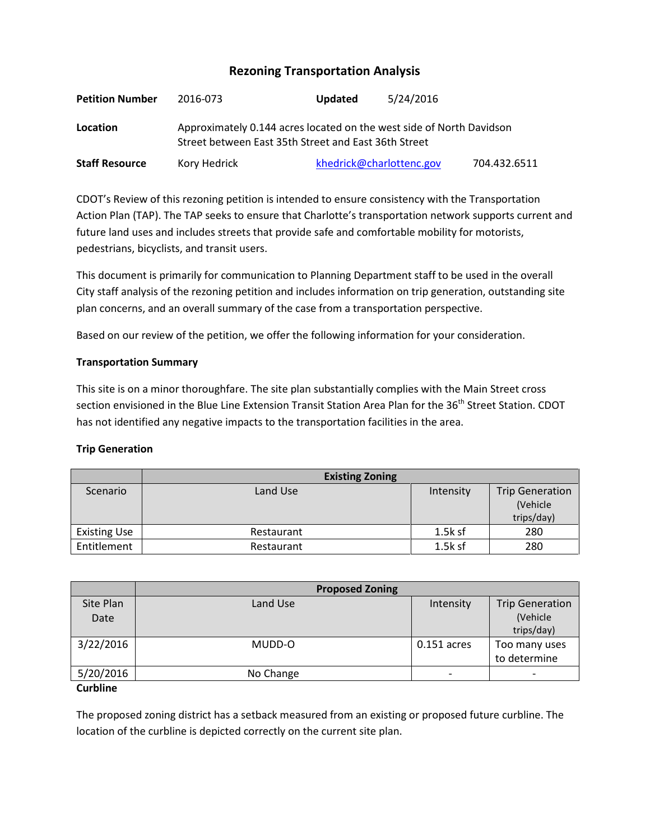# **Rezoning Transportation Analysis**

| <b>Petition Number</b> | 2016-073     | <b>Updated</b>                                                                                                               | 5/24/2016                |              |  |  |
|------------------------|--------------|------------------------------------------------------------------------------------------------------------------------------|--------------------------|--------------|--|--|
| Location               |              | Approximately 0.144 acres located on the west side of North Davidson<br>Street between East 35th Street and East 36th Street |                          |              |  |  |
| <b>Staff Resource</b>  | Kory Hedrick |                                                                                                                              | khedrick@charlottenc.gov | 704.432.6511 |  |  |

CDOT's Review of this rezoning petition is intended to ensure consistency with the Transportation Action Plan (TAP). The TAP seeks to ensure that Charlotte's transportation network supports current and future land uses and includes streets that provide safe and comfortable mobility for motorists, pedestrians, bicyclists, and transit users.

This document is primarily for communication to Planning Department staff to be used in the overall City staff analysis of the rezoning petition and includes information on trip generation, outstanding site plan concerns, and an overall summary of the case from a transportation perspective.

Based on our review of the petition, we offer the following information for your consideration.

## **Transportation Summary**

This site is on a minor thoroughfare. The site plan substantially complies with the Main Street cross section envisioned in the Blue Line Extension Transit Station Area Plan for the 36<sup>th</sup> Street Station. CDOT has not identified any negative impacts to the transportation facilities in the area.

## **Trip Generation**

|                     | <b>Existing Zoning</b> |           |                        |
|---------------------|------------------------|-----------|------------------------|
| Scenario            | Land Use               | Intensity | <b>Trip Generation</b> |
|                     |                        |           | (Vehicle               |
|                     |                        |           | trips/day)             |
| <b>Existing Use</b> | Restaurant             | $1.5k$ sf | 280                    |
| Entitlement         | Restaurant             | $1.5k$ sf | 280                    |

|                   | <b>Proposed Zoning</b> |                          |                                                  |  |
|-------------------|------------------------|--------------------------|--------------------------------------------------|--|
| Site Plan<br>Date | Land Use               | Intensity                | <b>Trip Generation</b><br>(Vehicle<br>trips/day) |  |
| 3/22/2016         | MUDD-O                 | $0.151$ acres            | Too many uses<br>to determine                    |  |
| 5/20/2016         | No Change              | $\overline{\phantom{a}}$ |                                                  |  |

## **Curbline**

The proposed zoning district has a setback measured from an existing or proposed future curbline. The location of the curbline is depicted correctly on the current site plan.